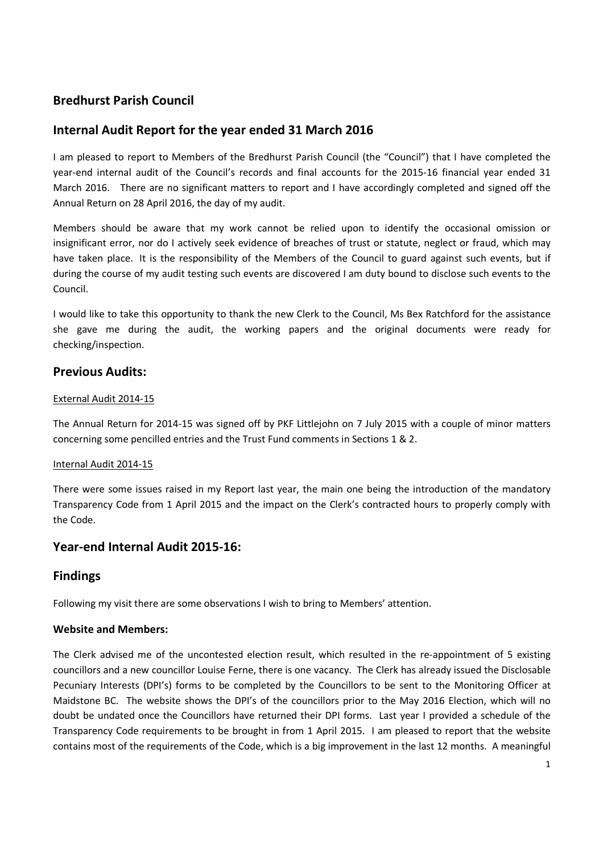# **Bredhurst Parish Council**

# **Internal Audit Report for the year ended 31 March 2016**

I am pleased to report to Members of the Bredhurst Parish Council (the "Council") that I have completed the year-end internal audit of the Council's records and final accounts for the 2015-16 financial year ended 31 March 2016. There are no significant matters to report and I have accordingly completed and signed off the Annual Return on 28 April 2016, the day of my audit.

Members should be aware that my work cannot be relied upon to identify the occasional omission or insignificant error, nor do I actively seek evidence of breaches of trust or statute, neglect or fraud, which may have taken place. It is the responsibility of the Members of the Council to guard against such events, but if during the course of my audit testing such events are discovered I am duty bound to disclose such events to the Council.

I would like to take this opportunity to thank the new Clerk to the Council, Ms Bex Ratchford for the assistance she gave me during the audit, the working papers and the original documents were ready for checking/inspection.

## **Previous Audits:**

### External Audit 2014-15

The Annual Return for 2014-15 was signed off by PKF Littlejohn on 7 July 2015 with a couple of minor matters concerning some pencilled entries and the Trust Fund comments in Sections 1 & 2.

### Internal Audit 2014-15

There were some issues raised in my Report last year, the main one being the introduction of the mandatory Transparency Code from 1 April 2015 and the impact on the Clerk's contracted hours to properly comply with the Code.

## **Year-end Internal Audit 2015-16:**

## **Findings**

Following my visit there are some observations I wish to bring to Members' attention.

## **Website and Members:**

The Clerk advised me of the uncontested election result, which resulted in the re-appointment of 5 existing councillors and a new councillor Louise Ferne, there is one vacancy. The Clerk has already issued the Disclosable Pecuniary Interests (DPI's) forms to be completed by the Councillors to be sent to the Monitoring Officer at Maidstone BC. The website shows the DPI's of the councillors prior to the May 2016 Election, which will no doubt be undated once the Councillors have returned their DPI forms. Last year I provided a schedule of the Transparency Code requirements to be brought in from 1 April 2015. I am pleased to report that the website contains most of the requirements of the Code, which is a big improvement in the last 12 months. A meaningful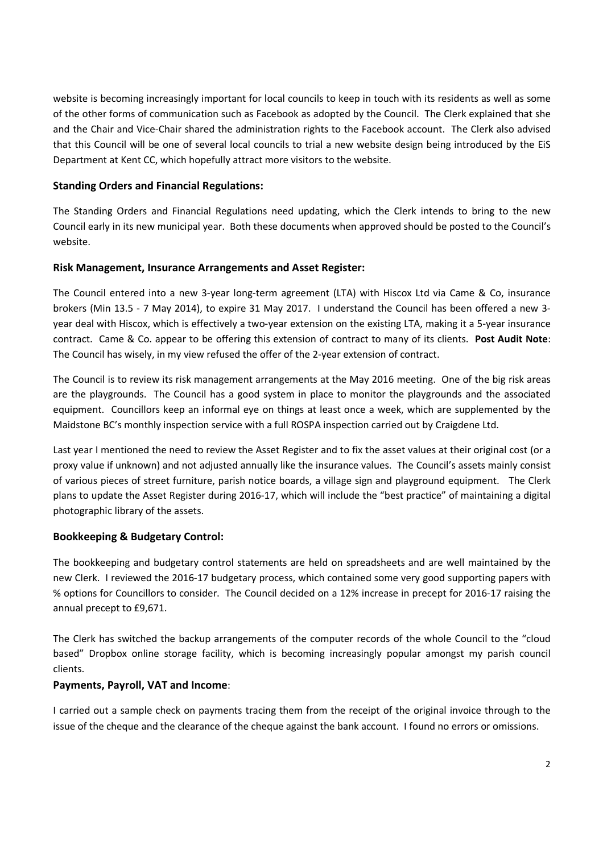website is becoming increasingly important for local councils to keep in touch with its residents as well as some of the other forms of communication such as Facebook as adopted by the Council. The Clerk explained that she and the Chair and Vice-Chair shared the administration rights to the Facebook account. The Clerk also advised that this Council will be one of several local councils to trial a new website design being introduced by the EiS Department at Kent CC, which hopefully attract more visitors to the website.

## **Standing Orders and Financial Regulations:**

The Standing Orders and Financial Regulations need updating, which the Clerk intends to bring to the new Council early in its new municipal year. Both these documents when approved should be posted to the Council's website.

### **Risk Management, Insurance Arrangements and Asset Register:**

The Council entered into a new 3-year long-term agreement (LTA) with Hiscox Ltd via Came & Co, insurance brokers (Min 13.5 - 7 May 2014), to expire 31 May 2017. I understand the Council has been offered a new 3 year deal with Hiscox, which is effectively a two-year extension on the existing LTA, making it a 5-year insurance contract. Came & Co. appear to be offering this extension of contract to many of its clients. **Post Audit Note**: The Council has wisely, in my view refused the offer of the 2-year extension of contract.

The Council is to review its risk management arrangements at the May 2016 meeting. One of the big risk areas are the playgrounds. The Council has a good system in place to monitor the playgrounds and the associated equipment. Councillors keep an informal eye on things at least once a week, which are supplemented by the Maidstone BC's monthly inspection service with a full ROSPA inspection carried out by Craigdene Ltd.

Last year I mentioned the need to review the Asset Register and to fix the asset values at their original cost (or a proxy value if unknown) and not adjusted annually like the insurance values. The Council's assets mainly consist of various pieces of street furniture, parish notice boards, a village sign and playground equipment. The Clerk plans to update the Asset Register during 2016-17, which will include the "best practice" of maintaining a digital photographic library of the assets.

### **Bookkeeping & Budgetary Control:**

The bookkeeping and budgetary control statements are held on spreadsheets and are well maintained by the new Clerk. I reviewed the 2016-17 budgetary process, which contained some very good supporting papers with % options for Councillors to consider. The Council decided on a 12% increase in precept for 2016-17 raising the annual precept to £9,671.

The Clerk has switched the backup arrangements of the computer records of the whole Council to the "cloud based" Dropbox online storage facility, which is becoming increasingly popular amongst my parish council clients.

### **Payments, Payroll, VAT and Income**:

I carried out a sample check on payments tracing them from the receipt of the original invoice through to the issue of the cheque and the clearance of the cheque against the bank account. I found no errors or omissions.